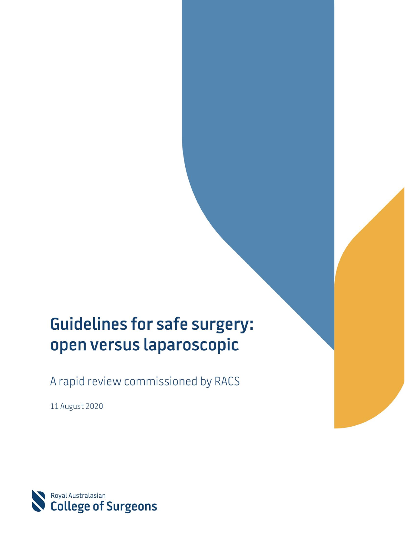# **Guidelines for safe surgery:** open versus laparoscopic

A rapid review commissioned by RACS

11 August 2020

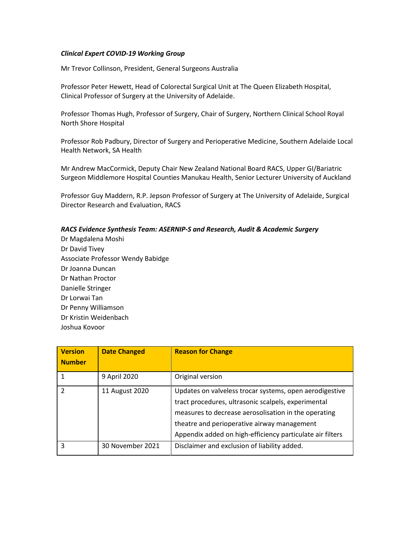#### *Clinical Expert COVID-19 Working Group*

Mr Trevor Collinson, President, General Surgeons Australia

Professor Peter Hewett, Head of Colorectal Surgical Unit at The Queen Elizabeth Hospital, Clinical Professor of Surgery at the University of Adelaide.

Professor Thomas Hugh, Professor of Surgery, Chair of Surgery, Northern Clinical School Royal North Shore Hospital

Professor Rob Padbury, Director of Surgery and Perioperative Medicine, Southern Adelaide Local Health Network, SA Health

Mr Andrew MacCormick, Deputy Chair New Zealand National Board RACS, Upper GI/Bariatric Surgeon Middlemore Hospital Counties Manukau Health, Senior Lecturer University of Auckland

Professor Guy Maddern, R.P. Jepson Professor of Surgery at The University of Adelaide, Surgical Director Research and Evaluation, RACS

#### *RACS Evidence Synthesis Team: ASERNIP-S and Research, Audit & Academic Surgery*

Dr Magdalena Moshi Dr David Tivey Associate Professor Wendy Babidge Dr Joanna Duncan Dr Nathan Proctor Danielle Stringer Dr Lorwai Tan Dr Penny Williamson Dr Kristin Weidenbach Joshua Kovoor

| <b>Version</b><br><b>Number</b> | <b>Date Changed</b> | <b>Reason for Change</b>                                                                                                                                                                                                                                                           |
|---------------------------------|---------------------|------------------------------------------------------------------------------------------------------------------------------------------------------------------------------------------------------------------------------------------------------------------------------------|
|                                 | 9 April 2020        | Original version                                                                                                                                                                                                                                                                   |
| $\mathcal{P}$                   | 11 August 2020      | Updates on valveless trocar systems, open aerodigestive<br>tract procedures, ultrasonic scalpels, experimental<br>measures to decrease aerosolisation in the operating<br>theatre and perioperative airway management<br>Appendix added on high-efficiency particulate air filters |
| 3                               | 30 November 2021    | Disclaimer and exclusion of liability added.                                                                                                                                                                                                                                       |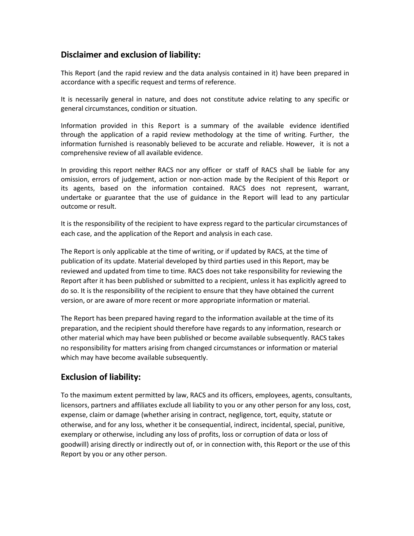#### **Disclaimer and exclusion of liability:**

This Report (and the rapid review and the data analysis contained in it) have been prepared in accordance with a specific request and terms of reference.

It is necessarily general in nature, and does not constitute advice relating to any specific or general circumstances, condition or situation.

Information provided in this Report is a summary of the available evidence identified through the application of a rapid review methodology at the time of writing. Further, the information furnished is reasonably believed to be accurate and reliable. However, it is not a comprehensive review of all available evidence.

In providing this report neither RACS nor any officer or staff of RACS shall be liable for any omission, errors of judgement, action or non-action made by the Recipient of this Report or its agents, based on the information contained. RACS does not represent, warrant, undertake or guarantee that the use of guidance in the Report will lead to any particular outcome or result.

It is the responsibility of the recipient to have express regard to the particular circumstances of each case, and the application of the Report and analysis in each case.

The Report is only applicable at the time of writing, or if updated by RACS, at the time of publication of its update. Material developed by third parties used in this Report, may be reviewed and updated from time to time. RACS does not take responsibility for reviewing the Report after it has been published or submitted to a recipient, unless it has explicitly agreed to do so. It is the responsibility of the recipient to ensure that they have obtained the current version, or are aware of more recent or more appropriate information or material.

The Report has been prepared having regard to the information available at the time of its preparation, and the recipient should therefore have regards to any information, research or other material which may have been published or become available subsequently. RACS takes no responsibility for matters arising from changed circumstances or information or material which may have become available subsequently.

### **Exclusion of liability:**

To the maximum extent permitted by law, RACS and its officers, employees, agents, consultants, licensors, partners and affiliates exclude all liability to you or any other person for any loss, cost, expense, claim or damage (whether arising in contract, negligence, tort, equity, statute or otherwise, and for any loss, whether it be consequential, indirect, incidental, special, punitive, exemplary or otherwise, including any loss of profits, loss or corruption of data or loss of goodwill) arising directly or indirectly out of, or in connection with, this Report or the use of this Report by you or any other person.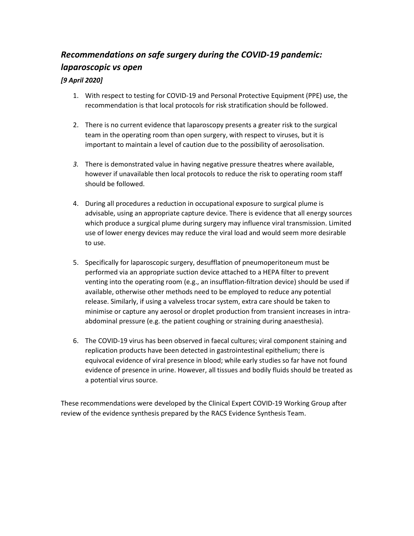# *Recommendations on safe surgery during the COVID-19 pandemic: laparoscopic vs open*

#### *[9 April 2020]*

- 1. With respect to testing for COVID-19 and Personal Protective Equipment (PPE) use, the recommendation is that local protocols for risk stratification should be followed.
- 2. There is no current evidence that laparoscopy presents a greater risk to the surgical team in the operating room than open surgery, with respect to viruses, but it is important to maintain a level of caution due to the possibility of aerosolisation.
- *3.* There is demonstrated value in having negative pressure theatres where available, however if unavailable then local protocols to reduce the risk to operating room staff should be followed.
- 4. During all procedures a reduction in occupational exposure to surgical plume is advisable, using an appropriate capture device. There is evidence that all energy sources which produce a surgical plume during surgery may influence viral transmission. Limited use of lower energy devices may reduce the viral load and would seem more desirable to use.
- 5. Specifically for laparoscopic surgery, desufflation of pneumoperitoneum must be performed via an appropriate suction device attached to a HEPA filter to prevent venting into the operating room (e.g., an insufflation-filtration device) should be used if available, otherwise other methods need to be employed to reduce any potential release. Similarly, if using a valveless trocar system, extra care should be taken to minimise or capture any aerosol or droplet production from transient increases in intraabdominal pressure (e.g. the patient coughing or straining during anaesthesia).
- 6. The COVID-19 virus has been observed in faecal cultures; viral component staining and replication products have been detected in gastrointestinal epithelium; there is equivocal evidence of viral presence in blood; while early studies so far have not found evidence of presence in urine. However, all tissues and bodily fluids should be treated as a potential virus source.

These recommendations were developed by the Clinical Expert COVID-19 Working Group after review of the evidence synthesis prepared by the RACS Evidence Synthesis Team.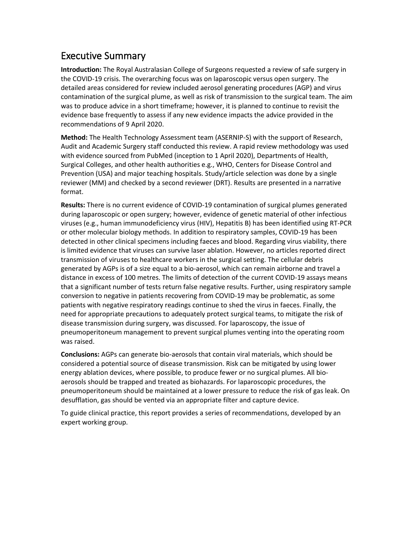# Executive Summary

**Introduction:** The Royal Australasian College of Surgeons requested a review of safe surgery in the COVID-19 crisis. The overarching focus was on laparoscopic versus open surgery. The detailed areas considered for review included aerosol generating procedures (AGP) and virus contamination of the surgical plume, as well as risk of transmission to the surgical team. The aim was to produce advice in a short timeframe; however, it is planned to continue to revisit the evidence base frequently to assess if any new evidence impacts the advice provided in the recommendations of 9 April 2020.

**Method:** The Health Technology Assessment team (ASERNIP-S) with the support of Research, Audit and Academic Surgery staff conducted this review. A rapid review methodology was used with evidence sourced from PubMed (inception to 1 April 2020), Departments of Health, Surgical Colleges, and other health authorities e.g., WHO, Centers for Disease Control and Prevention (USA) and major teaching hospitals. Study/article selection was done by a single reviewer (MM) and checked by a second reviewer (DRT). Results are presented in a narrative format.

**Results:** There is no current evidence of COVID-19 contamination of surgical plumes generated during laparoscopic or open surgery; however, evidence of genetic material of other infectious viruses (e.g., human immunodeficiency virus (HIV), Hepatitis B) has been identified using RT-PCR or other molecular biology methods. In addition to respiratory samples, COVID-19 has been detected in other clinical specimens including faeces and blood. Regarding virus viability, there is limited evidence that viruses can survive laser ablation. However, no articles reported direct transmission of viruses to healthcare workers in the surgical setting. The cellular debris generated by AGPs is of a size equal to a bio-aerosol, which can remain airborne and travel a distance in excess of 100 metres. The limits of detection of the current COVID-19 assays means that a significant number of tests return false negative results. Further, using respiratory sample conversion to negative in patients recovering from COVID-19 may be problematic, as some patients with negative respiratory readings continue to shed the virus in faeces. Finally, the need for appropriate precautions to adequately protect surgical teams, to mitigate the risk of disease transmission during surgery, was discussed. For laparoscopy, the issue of pneumoperitoneum management to prevent surgical plumes venting into the operating room was raised.

**Conclusions:** AGPs can generate bio-aerosols that contain viral materials, which should be considered a potential source of disease transmission. Risk can be mitigated by using lower energy ablation devices, where possible, to produce fewer or no surgical plumes. All bioaerosols should be trapped and treated as biohazards. For laparoscopic procedures, the pneumoperitoneum should be maintained at a lower pressure to reduce the risk of gas leak. On desufflation, gas should be vented via an appropriate filter and capture device.

To guide clinical practice, this report provides a series of recommendations, developed by an expert working group.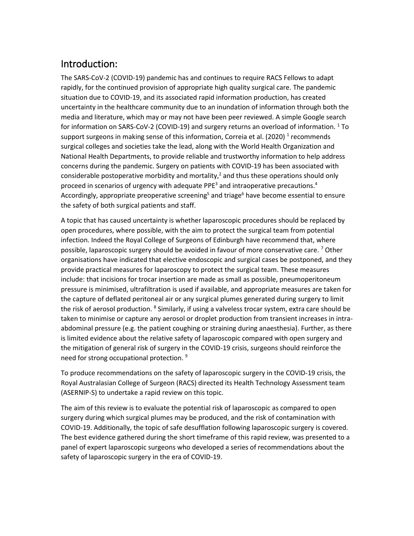# Introduction:

The SARS-CoV-2 (COVID-19) pandemic has and continues to require RACS Fellows to adapt rapidly, for the continued provision of appropriate high quality surgical care. The pandemic situation due to COVID-19, and its associated rapid information production, has created uncertainty in the healthcare community due to an inundation of information through both the media and literature, which may or may not have been peer reviewed. A simple Google search for information on SARS-CoV-2 (COVID-19) and surgery returns an overload of information.  $1$  To support surgeons in making sense of this information, Correia et al. (2020) <sup>1</sup> recommends surgical colleges and societies take the lead, along with the World Health Organization and National Health Departments, to provide reliable and trustworthy information to help address concerns during the pandemic. Surgery on patients with COVID-19 has been associated with considerable postoperative morbidity and mortality,<sup>2</sup> and thus these operations should only proceed in scenarios of urgency with adequate PPE<sup>3</sup> and intraoperative precautions.<sup>4</sup> Accordingly, appropriate preoperative screening<sup>5</sup> and triage<sup>6</sup> have become essential to ensure the safety of both surgical patients and staff.

A topic that has caused uncertainty is whether laparoscopic procedures should be replaced by open procedures, where possible, with the aim to protect the surgical team from potential infection. Indeed the Royal College of Surgeons of Edinburgh have recommend that, where possible, laparoscopic surgery should be avoided in favour of more conservative care. <sup>7</sup> Other organisations have indicated that elective endoscopic and surgical cases be postponed, and they provide practical measures for laparoscopy to protect the surgical team. These measures include: that incisions for trocar insertion are made as small as possible, pneumoperitoneum pressure is minimised, ultrafiltration is used if available, and appropriate measures are taken for the capture of deflated peritoneal air or any surgical plumes generated during surgery to limit the risk of aerosol production. <sup>8</sup> Similarly, if using a valveless trocar system, extra care should be taken to minimise or capture any aerosol or droplet production from transient increases in intraabdominal pressure (e.g. the patient coughing or straining during anaesthesia). Further, as there is limited evidence about the relative safety of laparoscopic compared with open surgery and the mitigation of general risk of surgery in the COVID-19 crisis, surgeons should reinforce the need for strong occupational protection.<sup>9</sup>

To produce recommendations on the safety of laparoscopic surgery in the COVID-19 crisis, the Royal Australasian College of Surgeon (RACS) directed its Health Technology Assessment team (ASERNIP-S) to undertake a rapid review on this topic.

The aim of this review is to evaluate the potential risk of laparoscopic as compared to open surgery during which surgical plumes may be produced, and the risk of contamination with COVID-19. Additionally, the topic of safe desufflation following laparoscopic surgery is covered. The best evidence gathered during the short timeframe of this rapid review, was presented to a panel of expert laparoscopic surgeons who developed a series of recommendations about the safety of laparoscopic surgery in the era of COVID-19.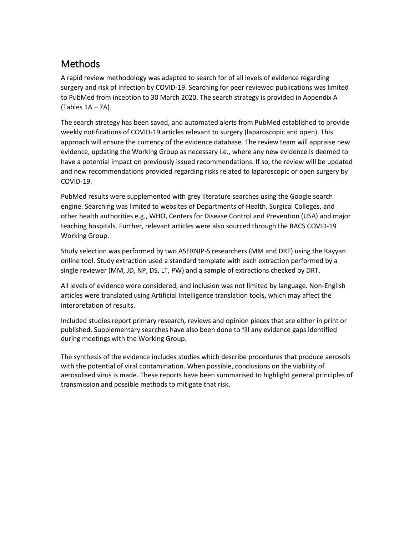# Methods

A rapid review methodology was adapted to search for of all levels of evidence regarding surgery and risk of infection by COVID-19. Searching for peer reviewed publications was limited to PubMed from inception to 30 March 2020. The search strategy is provided in Appendix A (Tables  $1A - 7A$ ).

The search strategy has been saved, and automated alerts from PubMed established to provide weekly notifications of COVID-19 articles relevant to surgery (laparoscopic and open). This approach will ensure the currency of the evidence database. The review team will appraise new evidence, updating the Working Group as necessary i.e., where any new evidence is deemed to have a potential impact on previously issued recommendations. If so, the review will be updated and new recommendations provided regarding risks related to laparoscopic or open surgery by COVID-19.

PubMed results were supplemented with grey literature searches using the Google search engine. Searching was limited to websites of Departments of Health, Surgical Colleges, and other health authorities e.g., WHO, Centers for Disease Control and Prevention (USA) and major teaching hospitals. Further, relevant articles were also sourced through the RACS COVID-19 Working Group.

Study selection was performed by two ASERNIP-S researchers (MM and DRT) using the Rayyan online tool. Study extraction used a standard template with each extraction performed by a single reviewer (MM, JD, NP, DS, LT, PW) and a sample of extractions checked by DRT.

All levels of evidence were considered, and inclusion was not limited by language. Non-English articles were translated using Artificial Intelligence translation tools, which may affect the interpretation of results.

Included studies report primary research, reviews and opinion pieces that are either in print or published. Supplementary searches have also been done to fill any evidence gaps identified during meetings with the Working Group.

The synthesis of the evidence includes studies which describe procedures that produce aerosols with the potential of viral contamination. When possible, conclusions on the viability of aerosolised virus is made. These reports have been summarised to highlight general principles of transmission and possible methods to mitigate that risk.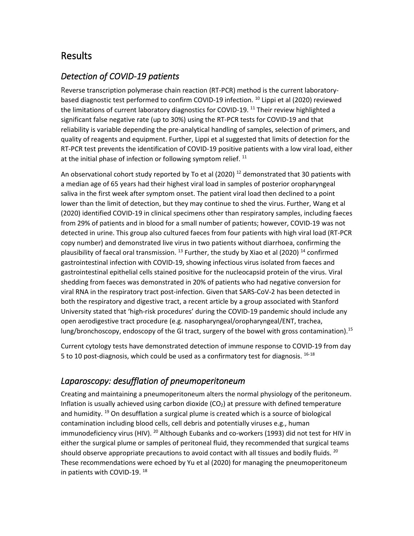## Results

### *Detection of COVID-19 patients*

Reverse transcription polymerase chain reaction (RT-PCR) method is the current laboratorybased diagnostic test performed to confirm COVID-19 infection.<sup>10</sup> Lippi et al (2020) reviewed the limitations of current laboratory diagnostics for COVID-19.<sup>11</sup> Their review highlighted a significant false negative rate (up to 30%) using the RT-PCR tests for COVID-19 and that reliability is variable depending the pre-analytical handling of samples, selection of primers, and quality of reagents and equipment. Further, Lippi et al suggested that limits of detection for the RT-PCR test prevents the identification of COVID-19 positive patients with a low viral load, either at the initial phase of infection or following symptom relief.  $^{11}$ 

An observational cohort study reported by To et al (2020)<sup>12</sup> demonstrated that 30 patients with a median age of 65 years had their highest viral load in samples of posterior oropharyngeal saliva in the first week after symptom onset. The patient viral load then declined to a point lower than the limit of detection, but they may continue to shed the virus. Further, Wang et al (2020) identified COVID-19 in clinical specimens other than respiratory samples, including faeces from 29% of patients and in blood for a small number of patients; however, COVID-19 was not detected in urine. This group also cultured faeces from four patients with high viral load (RT-PCR copy number) and demonstrated live virus in two patients without diarrhoea, confirming the plausibility of faecal oral transmission.  $^{13}$  Further, the study by Xiao et al (2020) <sup>14</sup> confirmed gastrointestinal infection with COVID-19, showing infectious virus isolated from faeces and gastrointestinal epithelial cells stained positive for the nucleocapsid protein of the virus. Viral shedding from faeces was demonstrated in 20% of patients who had negative conversion for viral RNA in the respiratory tract post-infection. Given that SARS-CoV-2 has been detected in both the respiratory and digestive tract, a recent article by a group associated with Stanford University stated that 'high-risk procedures' during the COVID-19 pandemic should include any open aerodigestive tract procedure (e.g. nasopharyngeal/oropharyngeal/ENT, trachea, lung/bronchoscopy, endoscopy of the GI tract, surgery of the bowel with gross contamination).<sup>15</sup>

Current cytology tests have demonstrated detection of immune response to COVID-19 from day 5 to 10 post-diagnosis, which could be used as a confirmatory test for diagnosis.  $16-18$ 

### *Laparoscopy: desufflation of pneumoperitoneum*

Creating and maintaining a pneumoperitoneum alters the normal physiology of the peritoneum. Inflation is usually achieved using carbon dioxide  $(CO<sub>2</sub>)$  at pressure with defined temperature and humidity. <sup>19</sup> On desufflation a surgical plume is created which is a source of biological contamination including blood cells, cell debris and potentially viruses e.g., human immunodeficiency virus (HIV). <sup>20</sup> Although Eubanks and co-workers (1993) did not test for HIV in either the surgical plume or samples of peritoneal fluid, they recommended that surgical teams should observe appropriate precautions to avoid contact with all tissues and bodily fluids.  $^{20}$ These recommendations were echoed by Yu et al (2020) for managing the pneumoperitoneum in patients with COVID-19.<sup>18</sup>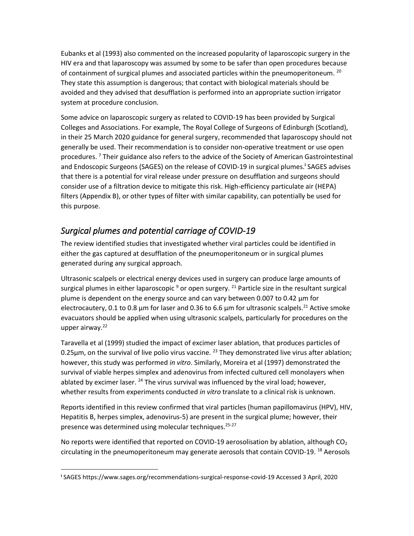Eubanks et al (1993) also commented on the increased popularity of laparoscopic surgery in the HIV era and that laparoscopy was assumed by some to be safer than open procedures because of containment of surgical plumes and associated particles within the pneumoperitoneum. <sup>20</sup> They state this assumption is dangerous; that contact with biological materials should be avoided and they advised that desufflation is performed into an appropriate suction irrigator system at procedure conclusion.

Some advice on laparoscopic surgery as related to COVID-19 has been provided by Surgical Colleges and Associations. For example, The Royal College of Surgeons of Edinburgh (Scotland), in their 25 March 2020 guidance for general surgery, recommended that laparoscopy should not generally be used. Their recommendation is to consider non-operative treatment or use open procedures. <sup>7</sup> Their guidance also refers to the advice of the Society of American Gastrointestinal and Endoscopic Surgeons (SAGES) on the release of COVID-19 in surgical plumes. **i** SAGES advises that there is a potential for viral release under pressure on desufflation and surgeons should consider use of a filtration device to mitigate this risk. High-efficiency particulate air (HEPA) filters (Appendix B), or other types of filter with similar capability, can potentially be used for this purpose.

### *Surgical plumes and potential carriage of COVID-19*

The review identified studies that investigated whether viral particles could be identified in either the gas captured at desufflation of the pneumoperitoneum or in surgical plumes generated during any surgical approach.

Ultrasonic scalpels or electrical energy devices used in surgery can produce large amounts of surgical plumes in either laparoscopic  $9$  or open surgery. <sup>21</sup> Particle size in the resultant surgical plume is dependent on the energy source and can vary between 0.007 to 0.42 µm for electrocautery, 0.1 to 0.8  $\mu$ m for laser and 0.36 to 6.6  $\mu$ m for ultrasonic scalpels.<sup>21</sup> Active smoke evacuators should be applied when using ultrasonic scalpels, particularly for procedures on the upper airway. $22$ 

Taravella et al (1999) studied the impact of excimer laser ablation, that produces particles of 0.25 $\mu$ m, on the survival of live polio virus vaccine. <sup>23</sup> They demonstrated live virus after ablation; however, this study was performed *in vitro*. Similarly, Moreira et al (1997) demonstrated the survival of viable herpes simplex and adenovirus from infected cultured cell monolayers when ablated by excimer laser.  $24$  The virus survival was influenced by the viral load; however, whether results from experiments conducted *in vitro* translate to a clinical risk is unknown.

Reports identified in this review confirmed that viral particles (human papillomavirus (HPV), HIV, Hepatitis B, herpes simplex, adenovirus-5) are present in the surgical plume; however, their presence was determined using molecular techniques. 25-27

No reports were identified that reported on COVID-19 aerosolisation by ablation, although CO<sub>2</sub> circulating in the pneumoperitoneum may generate aerosols that contain COVID-19. <sup>18</sup> Aerosols

**i** SAGES https://www.sages.org/recommendations-surgical-response-covid-19 Accessed 3 April, 2020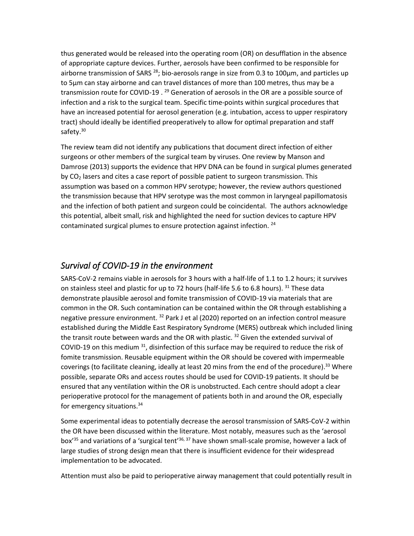thus generated would be released into the operating room (OR) on desufflation in the absence of appropriate capture devices. Further, aerosols have been confirmed to be responsible for airborne transmission of SARS  $^{28}$ ; bio-aerosols range in size from 0.3 to 100 $\mu$ m, and particles up to 5µm can stay airborne and can travel distances of more than 100 metres, thus may be a transmission route for COVID-19 . <sup>29</sup> Generation of aerosols in the OR are a possible source of infection and a risk to the surgical team. Specific time-points within surgical procedures that have an increased potential for aerosol generation (e.g. intubation, access to upper respiratory tract) should ideally be identified preoperatively to allow for optimal preparation and staff safety.<sup>30</sup>

The review team did not identify any publications that document direct infection of either surgeons or other members of the surgical team by viruses. One review by Manson and Damrose (2013) supports the evidence that HPV DNA can be found in surgical plumes generated by  $CO<sub>2</sub>$  lasers and cites a case report of possible patient to surgeon transmission. This assumption was based on a common HPV serotype; however, the review authors questioned the transmission because that HPV serotype was the most common in laryngeal papillomatosis and the infection of both patient and surgeon could be coincidental. The authors acknowledge this potential, albeit small, risk and highlighted the need for suction devices to capture HPV contaminated surgical plumes to ensure protection against infection. <sup>24</sup>

#### *Survival of COVID-19 in the environment*

SARS-CoV-2 remains viable in aerosols for 3 hours with a half-life of 1.1 to 1.2 hours; it survives on stainless steel and plastic for up to 72 hours (half-life 5.6 to 6.8 hours). <sup>31</sup> These data demonstrate plausible aerosol and fomite transmission of COVID-19 via materials that are common in the OR. Such contamination can be contained within the OR through establishing a negative pressure environment. <sup>32</sup> Park J et al (2020) reported on an infection control measure established during the Middle East Respiratory Syndrome (MERS) outbreak which included lining the transit route between wards and the OR with plastic.  $32$  Given the extended survival of COVID-19 on this medium  $31$ , disinfection of this surface may be required to reduce the risk of fomite transmission. Reusable equipment within the OR should be covered with impermeable coverings (to facilitate cleaning, ideally at least 20 mins from the end of the procedure).<sup>33</sup> Where possible, separate ORs and access routes should be used for COVID-19 patients. It should be ensured that any ventilation within the OR is unobstructed. Each centre should adopt a clear perioperative protocol for the management of patients both in and around the OR, especially for emergency situations.<sup>34</sup>

Some experimental ideas to potentially decrease the aerosol transmission of SARS-CoV-2 within the OR have been discussed within the literature. Most notably, measures such as the 'aerosol box<sup>'35</sup> and variations of a 'surgical tent<sup>'36, 37</sup> have shown small-scale promise, however a lack of large studies of strong design mean that there is insufficient evidence for their widespread implementation to be advocated.

Attention must also be paid to perioperative airway management that could potentially result in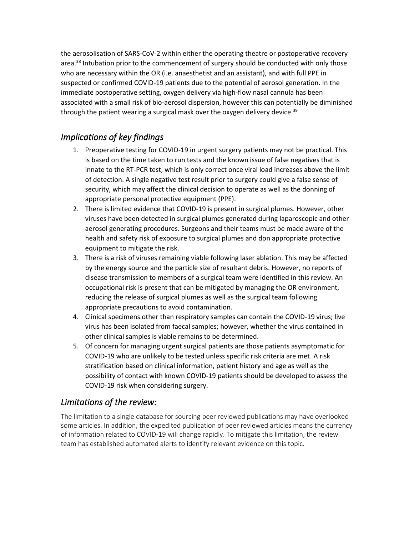the aerosolisation of SARS-CoV-2 within either the operating theatre or postoperative recovery area.<sup>38</sup> Intubation prior to the commencement of surgery should be conducted with only those who are necessary within the OR (i.e. anaesthetist and an assistant), and with full PPE in suspected or confirmed COVID-19 patients due to the potential of aerosol generation. In the immediate postoperative setting, oxygen delivery via high-flow nasal cannula has been associated with a small risk of bio-aerosol dispersion, however this can potentially be diminished through the patient wearing a surgical mask over the oxygen delivery device.<sup>39</sup>

### *Implications of key findings*

- 1. Preoperative testing for COVID-19 in urgent surgery patients may not be practical. This is based on the time taken to run tests and the known issue of false negatives that is innate to the RT-PCR test, which is only correct once viral load increases above the limit of detection. A single negative test result prior to surgery could give a false sense of security, which may affect the clinical decision to operate as well as the donning of appropriate personal protective equipment (PPE).
- 2. There is limited evidence that COVID-19 is present in surgical plumes. However, other viruses have been detected in surgical plumes generated during laparoscopic and other aerosol generating procedures. Surgeons and their teams must be made aware of the health and safety risk of exposure to surgical plumes and don appropriate protective equipment to mitigate the risk.
- 3. There is a risk of viruses remaining viable following laser ablation. This may be affected by the energy source and the particle size of resultant debris. However, no reports of disease transmission to members of a surgical team were identified in this review. An occupational risk is present that can be mitigated by managing the OR environment, reducing the release of surgical plumes as well as the surgical team following appropriate precautions to avoid contamination.
- 4. Clinical specimens other than respiratory samples can contain the COVID-19 virus; live virus has been isolated from faecal samples; however, whether the virus contained in other clinical samples is viable remains to be determined.
- 5. Of concern for managing urgent surgical patients are those patients asymptomatic for COVID-19 who are unlikely to be tested unless specific risk criteria are met. A risk stratification based on clinical information, patient history and age as well as the possibility of contact with known COVID-19 patients should be developed to assess the COVID-19 risk when considering surgery.

### *Limitations of the review:*

The limitation to a single database for sourcing peer reviewed publications may have overlooked some articles. In addition, the expedited publication of peer reviewed articles means the currency of information related to COVID-19 will change rapidly. To mitigate this limitation, the review team has established automated alerts to identify relevant evidence on this topic.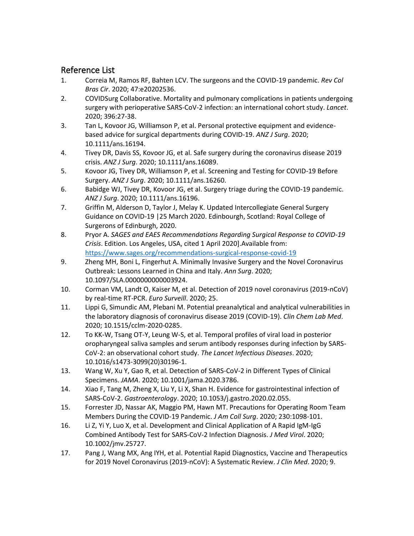### Reference List

- 1. Correia M, Ramos RF, Bahten LCV. The surgeons and the COVID-19 pandemic. *Rev Col Bras Cir*. 2020; 47:e20202536.
- 2. COVIDSurg Collaborative. Mortality and pulmonary complications in patients undergoing surgery with perioperative SARS-CoV-2 infection: an international cohort study. *Lancet*. 2020; 396:27-38.
- 3. Tan L, Kovoor JG, Williamson P, et al. Personal protective equipment and evidencebased advice for surgical departments during COVID-19. *ANZ J Surg*. 2020; 10.1111/ans.16194.
- 4. Tivey DR, Davis SS, Kovoor JG, et al. Safe surgery during the coronavirus disease 2019 crisis. *ANZ J Surg*. 2020; 10.1111/ans.16089.
- 5. Kovoor JG, Tivey DR, Williamson P, et al. Screening and Testing for COVID-19 Before Surgery. *ANZ J Surg*. 2020; 10.1111/ans.16260.
- 6. Babidge WJ, Tivey DR, Kovoor JG, et al. Surgery triage during the COVID-19 pandemic. *ANZ J Surg*. 2020; 10.1111/ans.16196.
- 7. Griffin M, Alderson D, Taylor J, Melay K. Updated Intercollegiate General Surgery Guidance on COVID-19 |25 March 2020. Edinbourgh, Scotland: Royal College of Surgerons of Edinburgh, 2020.
- 8. Pryor A. *SAGES and EAES Recommendations Regarding Surgical Response to COVID-19 Crisis*. Edition. Los Angeles, USA, cited 1 April 2020].Available from: <https://www.sages.org/recommendations-surgical-response-covid-19>
- 9. Zheng MH, Boni L, Fingerhut A. Minimally Invasive Surgery and the Novel Coronavirus Outbreak: Lessons Learned in China and Italy. *Ann Surg*. 2020; 10.1097/SLA.0000000000003924.
- 10. Corman VM, Landt O, Kaiser M, et al. Detection of 2019 novel coronavirus (2019-nCoV) by real-time RT-PCR. *Euro Surveill*. 2020; 25.
- 11. Lippi G, Simundic AM, Plebani M. Potential preanalytical and analytical vulnerabilities in the laboratory diagnosis of coronavirus disease 2019 (COVID-19). *Clin Chem Lab Med*. 2020; 10.1515/cclm-2020-0285.
- 12. To KK-W, Tsang OT-Y, Leung W-S, et al. Temporal profiles of viral load in posterior oropharyngeal saliva samples and serum antibody responses during infection by SARS-CoV-2: an observational cohort study. *The Lancet Infectious Diseases*. 2020; 10.1016/s1473-3099(20)30196-1.
- 13. Wang W, Xu Y, Gao R, et al. Detection of SARS-CoV-2 in Different Types of Clinical Specimens. *JAMA*. 2020; 10.1001/jama.2020.3786.
- 14. Xiao F, Tang M, Zheng X, Liu Y, Li X, Shan H. Evidence for gastrointestinal infection of SARS-CoV-2. *Gastroenterology*. 2020; 10.1053/j.gastro.2020.02.055.
- 15. Forrester JD, Nassar AK, Maggio PM, Hawn MT. Precautions for Operating Room Team Members During the COVID-19 Pandemic. *J Am Coll Surg*. 2020; 230:1098-101.
- 16. Li Z, Yi Y, Luo X, et al. Development and Clinical Application of A Rapid IgM-IgG Combined Antibody Test for SARS-CoV-2 Infection Diagnosis. *J Med Virol*. 2020; 10.1002/jmv.25727.
- 17. Pang J, Wang MX, Ang IYH, et al. Potential Rapid Diagnostics, Vaccine and Therapeutics for 2019 Novel Coronavirus (2019-nCoV): A Systematic Review. *J Clin Med*. 2020; 9.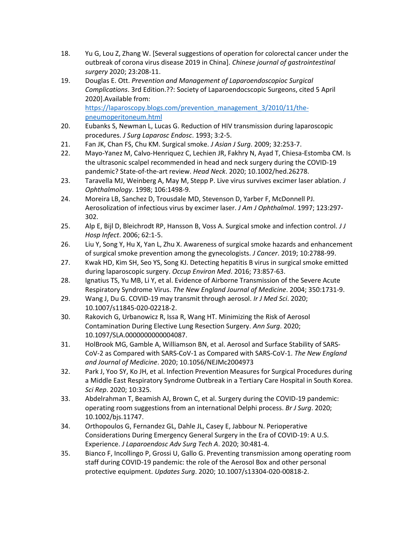- 18. Yu G, Lou Z, Zhang W. [Several suggestions of operation for colorectal cancer under the outbreak of corona virus disease 2019 in China]. *Chinese journal of gastrointestinal surgery* 2020; 23:208-11.
- 19. Douglas E. Ott. *Prevention and Management of Laparoendoscopioc Surgical Complications*. 3rd Edition.??: Society of Laparoendocscopic Surgeons, cited 5 April 2020].Available from: [https://laparoscopy.blogs.com/prevention\\_management\\_3/2010/11/the-](https://laparoscopy.blogs.com/prevention_management_3/2010/11/the-pneumoperitoneum.html)

[pneumoperitoneum.html](https://laparoscopy.blogs.com/prevention_management_3/2010/11/the-pneumoperitoneum.html) 20. Eubanks S, Newman L, Lucas G. Reduction of HIV transmission during laparoscopic procedures. *J Surg Laparosc Endosc*. 1993; 3:2-5.

- 21. Fan JK, Chan FS, Chu KM. Surgical smoke. *J Asian J Surg*. 2009; 32:253-7.
- 22. Mayo-Yanez M, Calvo-Henriquez C, Lechien JR, Fakhry N, Ayad T, Chiesa-Estomba CM. Is the ultrasonic scalpel recommended in head and neck surgery during the COVID-19 pandemic? State-of-the-art review. *Head Neck*. 2020; 10.1002/hed.26278.
- 23. Taravella MJ, Weinberg A, May M, Stepp P. Live virus survives excimer laser ablation. *J Ophthalmology*. 1998; 106:1498-9.
- 24. Moreira LB, Sanchez D, Trousdale MD, Stevenson D, Yarber F, McDonnell PJ. Aerosolization of infectious virus by excimer laser. *J Am J Ophthalmol*. 1997; 123:297- 302.
- 25. Alp E, Bijl D, Bleichrodt RP, Hansson B, Voss A. Surgical smoke and infection control. *J J Hosp Infect*. 2006; 62:1-5.
- 26. Liu Y, Song Y, Hu X, Yan L, Zhu X. Awareness of surgical smoke hazards and enhancement of surgical smoke prevention among the gynecologists. *J Cancer*. 2019; 10:2788-99.
- 27. Kwak HD, Kim SH, Seo YS, Song KJ. Detecting hepatitis B virus in surgical smoke emitted during laparoscopic surgery. *Occup Environ Med*. 2016; 73:857-63.
- 28. Ignatius TS, Yu MB, Li Y, et al. Evidence of Airborne Transmission of the Severe Acute Respiratory Syndrome Virus. *The New England Journal of Medicine*. 2004; 350:1731-9.
- 29. Wang J, Du G. COVID-19 may transmit through aerosol. *Ir J Med Sci*. 2020; 10.1007/s11845-020-02218-2.
- 30. Rakovich G, Urbanowicz R, Issa R, Wang HT. Minimizing the Risk of Aerosol Contamination During Elective Lung Resection Surgery. *Ann Surg*. 2020; 10.1097/SLA.0000000000004087.
- 31. HolBrook MG, Gamble A, Williamson BN, et al. Aerosol and Surface Stability of SARS-CoV-2 as Compared with SARS-CoV-1 as Compared with SARS-CoV-1. *The New England and Journal of Medicine*. 2020; 10.1056/NEJMc2004973
- 32. Park J, Yoo SY, Ko JH, et al. Infection Prevention Measures for Surgical Procedures during a Middle East Respiratory Syndrome Outbreak in a Tertiary Care Hospital in South Korea. *Sci Rep*. 2020; 10:325.
- 33. Abdelrahman T, Beamish AJ, Brown C, et al. Surgery during the COVID-19 pandemic: operating room suggestions from an international Delphi process. *Br J Surg*. 2020; 10.1002/bjs.11747.
- 34. Orthopoulos G, Fernandez GL, Dahle JL, Casey E, Jabbour N. Perioperative Considerations During Emergency General Surgery in the Era of COVID-19: A U.S. Experience. *J Laparoendosc Adv Surg Tech A*. 2020; 30:481-4.
- 35. Bianco F, Incollingo P, Grossi U, Gallo G. Preventing transmission among operating room staff during COVID-19 pandemic: the role of the Aerosol Box and other personal protective equipment. *Updates Surg*. 2020; 10.1007/s13304-020-00818-2.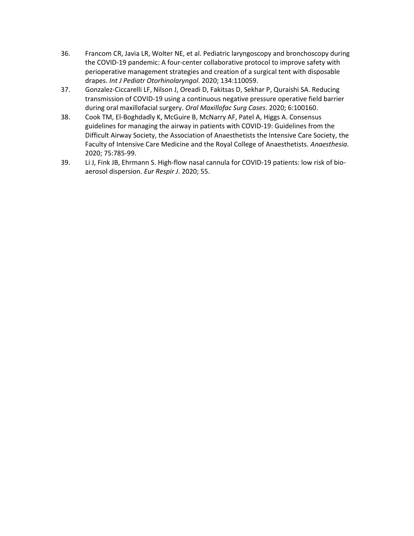- 36. Francom CR, Javia LR, Wolter NE, et al. Pediatric laryngoscopy and bronchoscopy during the COVID-19 pandemic: A four-center collaborative protocol to improve safety with perioperative management strategies and creation of a surgical tent with disposable drapes. *Int J Pediatr Otorhinolaryngol*. 2020; 134:110059.
- 37. Gonzalez-Ciccarelli LF, Nilson J, Oreadi D, Fakitsas D, Sekhar P, Quraishi SA. Reducing transmission of COVID-19 using a continuous negative pressure operative field barrier during oral maxillofacial surgery. *Oral Maxillofac Surg Cases*. 2020; 6:100160.
- 38. Cook TM, El-Boghdadly K, McGuire B, McNarry AF, Patel A, Higgs A. Consensus guidelines for managing the airway in patients with COVID-19: Guidelines from the Difficult Airway Society, the Association of Anaesthetists the Intensive Care Society, the Faculty of Intensive Care Medicine and the Royal College of Anaesthetists. *Anaesthesia*. 2020; 75:785-99.
- 39. Li J, Fink JB, Ehrmann S. High-flow nasal cannula for COVID-19 patients: low risk of bioaerosol dispersion. *Eur Respir J*. 2020; 55.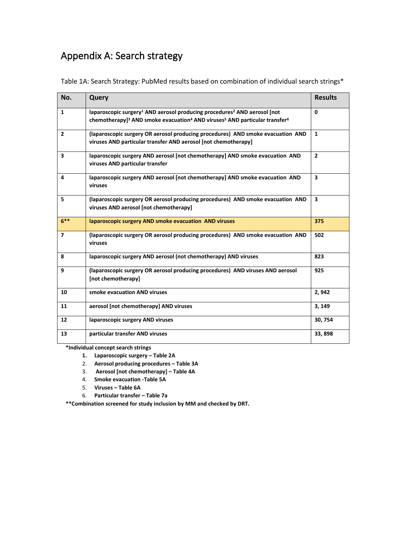# Appendix A: Search strategy

| Table 1A: Search Strategy: PubMed results based on combination of individual search strings* |  |
|----------------------------------------------------------------------------------------------|--|
|----------------------------------------------------------------------------------------------|--|

| No.                     | Query                                                                                                                                                                                                                          | <b>Results</b> |
|-------------------------|--------------------------------------------------------------------------------------------------------------------------------------------------------------------------------------------------------------------------------|----------------|
| $\mathbf{1}$            | laparoscopic surgery <sup>1</sup> AND aerosol producing procedures <sup>2</sup> AND aerosol [not<br>chemotherapy] <sup>3</sup> AND smoke evacuation <sup>4</sup> AND viruses <sup>5</sup> AND particular transfer <sup>6</sup> | 0              |
| $\overline{2}$          | (laparoscopic surgery OR aerosol producing procedures) AND smoke evacuation AND<br>viruses AND particular transfer AND aerosol [not chemotherapy]                                                                              | $\mathbf{1}$   |
| $\overline{\mathbf{3}}$ | laparoscopic surgery AND aerosol [not chemotherapy] AND smoke evacuation AND<br>viruses AND particular transfer                                                                                                                | $\overline{2}$ |
| 4                       | laparoscopic surgery AND aerosol [not chemotherapy] AND smoke evacuation AND<br>viruses                                                                                                                                        | 3              |
| 5                       | (laparoscopic surgery OR aerosol producing procedures) AND smoke evacuation AND<br>viruses AND aerosol [not chemotherapy]                                                                                                      | 3              |
| $6***$                  | laparoscopic surgery AND smoke evacuation AND viruses                                                                                                                                                                          | 375            |
| $\overline{7}$          | (laparoscopic surgery OR aerosol producing procedures) AND smoke evacuation AND<br>viruses                                                                                                                                     | 502            |
| 8                       | laparoscopic surgery AND aerosol (not chemotherapy) AND viruses                                                                                                                                                                | 823            |
| 9                       | (laparoscopic surgery OR aerosol producing procedures) AND viruses AND aerosol<br>[not chemotherapy]                                                                                                                           | 925            |
| 10                      | smoke evacuation AND viruses                                                                                                                                                                                                   | 2,942          |
| 11                      | aerosol [not chemotherapy] AND viruses                                                                                                                                                                                         | 3, 149         |
| 12                      | laparoscopic surgery AND viruses                                                                                                                                                                                               | 30, 754        |
| 13                      | particular transfer AND viruses                                                                                                                                                                                                | 33,898         |

**\*Individual concept search strings**

**1. Laparoscopic surgery – Table 2A**

- 2. **Aerosol producing procedures – Table 3A**
- 3. **Aerosol [not chemotherapy] – Table 4A**
- 4. **Smoke evacuation -Table 5A**
- 5. **Viruses – Table 6A**
- 6. **Particular transfer – Table 7a**

**\*\*Combination screened for study inclusion by MM and checked by DRT.**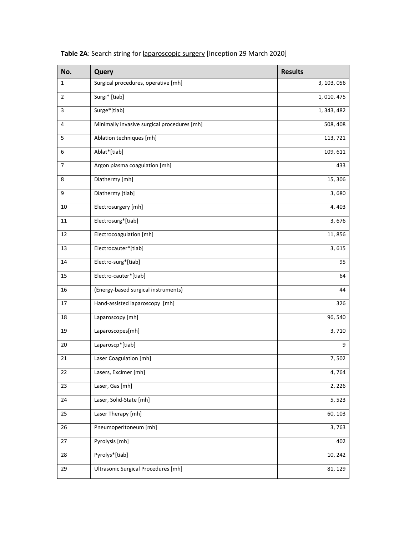| No.            | Query                                       | <b>Results</b> |
|----------------|---------------------------------------------|----------------|
| $\mathbf{1}$   | Surgical procedures, operative [mh]         | 3, 103, 056    |
| $\overline{2}$ | Surgi* [tiab]                               | 1, 010, 475    |
| 3              | Surge*[tiab]                                | 1, 343, 482    |
| 4              | Minimally invasive surgical procedures [mh] | 508, 408       |
| 5              | Ablation techniques [mh]                    | 113, 721       |
| 6              | Ablat*[tiab]                                | 109, 611       |
| 7              | Argon plasma coagulation [mh]               | 433            |
| 8              | Diathermy [mh]                              | 15, 306        |
| 9              | Diathermy [tiab]                            | 3,680          |
| 10             | Electrosurgery [mh]                         | 4,403          |
| 11             | Electrosurg*[tiab]                          | 3,676          |
| 12             | Electrocoagulation [mh]                     | 11,856         |
| 13             | Electrocauter*[tiab]                        | 3,615          |
| 14             | Electro-surg*[tiab]                         | 95             |
| $15\,$         | Electro-cauter*[tiab]                       | 64             |
| 16             | (Energy-based surgical instruments)         | 44             |
| 17             | Hand-assisted laparoscopy [mh]              | 326            |
| 18             | Laparoscopy [mh]                            | 96, 540        |
| 19             | Laparoscopes[mh]                            | 3,710          |
| 20             | Laparoscp*[tiab]                            | 9              |
| 21             | Laser Coagulation [mh]                      | 7,502          |
| 22             | Lasers, Excimer [mh]                        | 4,764          |
| 23             | Laser, Gas [mh]                             | 2, 226         |
| 24             | Laser, Solid-State [mh]                     | 5, 523         |
| 25             | Laser Therapy [mh]                          | 60, 103        |
| 26             | Pneumoperitoneum [mh]                       | 3,763          |
| 27             | Pyrolysis [mh]                              | 402            |
| 28             | Pyrolys*[tiab]                              | 10, 242        |
| 29             | Ultrasonic Surgical Procedures [mh]         | 81, 129        |

**Table 2A**: Search string for laparoscopic surgery [Inception 29 March 2020]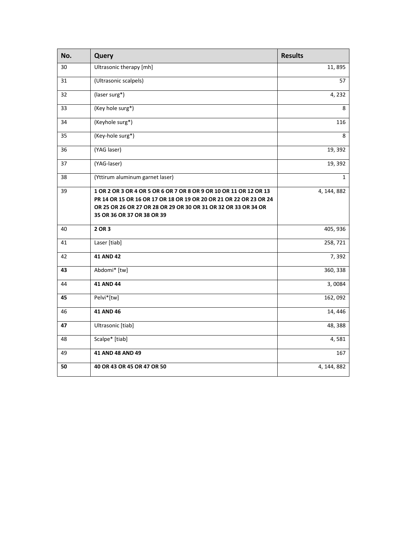| No. | Query                                                                                                                                                                                                                                  | <b>Results</b> |
|-----|----------------------------------------------------------------------------------------------------------------------------------------------------------------------------------------------------------------------------------------|----------------|
| 30  | Ultrasonic therapy [mh]                                                                                                                                                                                                                | 11,895         |
| 31  | (Ultrasonic scalpels)                                                                                                                                                                                                                  | 57             |
| 32  | (laser surg*)                                                                                                                                                                                                                          | 4,232          |
| 33  | (Key hole surg*)                                                                                                                                                                                                                       | 8              |
| 34  | (Keyhole surg*)                                                                                                                                                                                                                        | 116            |
| 35  | (Key-hole surg*)                                                                                                                                                                                                                       | 8              |
| 36  | (YAG laser)                                                                                                                                                                                                                            | 19, 392        |
| 37  | (YAG-laser)                                                                                                                                                                                                                            | 19, 392        |
| 38  | (Yttirum aluminum garnet laser)                                                                                                                                                                                                        | $\mathbf{1}$   |
| 39  | 1 OR 2 OR 3 OR 4 OR 5 OR 6 OR 7 OR 8 OR 9 OR 10 OR 11 OR 12 OR 13<br>PR 14 OR 15 OR 16 OR 17 OR 18 OR 19 OR 20 OR 21 OR 22 OR 23 OR 24<br>OR 25 OR 26 OR 27 OR 28 OR 29 OR 30 OR 31 OR 32 OR 33 OR 34 OR<br>35 OR 36 OR 37 OR 38 OR 39 | 4, 144, 882    |
| 40  | 2 OR 3                                                                                                                                                                                                                                 | 405, 936       |
| 41  | Laser [tiab]                                                                                                                                                                                                                           | 258, 721       |
| 42  | 41 AND 42                                                                                                                                                                                                                              | 7,392          |
| 43  | Abdomi* [tw]                                                                                                                                                                                                                           | 360, 338       |
| 44  | 41 AND 44                                                                                                                                                                                                                              | 3,0084         |
| 45  | Pelvi*[tw]                                                                                                                                                                                                                             | 162,092        |
| 46  | 41 AND 46                                                                                                                                                                                                                              | 14, 446        |
| 47  | Ultrasonic [tiab]                                                                                                                                                                                                                      | 48, 388        |
| 48  | Scalpe* [tiab]                                                                                                                                                                                                                         | 4,581          |
| 49  | 41 AND 48 AND 49                                                                                                                                                                                                                       | 167            |
| 50  | 40 OR 43 OR 45 OR 47 OR 50                                                                                                                                                                                                             | 4, 144, 882    |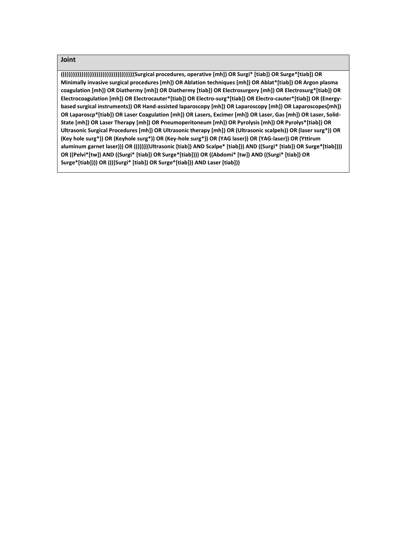**(((((((((((((((((((((((((((((((((((((((Surgical procedures, operative [mh]) OR Surgi\* [tiab]) OR Surge\*[tiab]) OR Minimally invasive surgical procedures [mh]) OR Ablation techniques [mh]) OR Ablat\*[tiab]) OR Argon plasma coagulation [mh]) OR Diathermy [mh]) OR Diathermy [tiab]) OR Electrosurgery [mh]) OR Electrosurg\*[tiab]) OR Electrocoagulation [mh]) OR Electrocauter\*[tiab]) OR Electro-surg\*[tiab]) OR Electro-cauter\*[tiab]) OR (Energybased surgical instruments)) OR Hand-assisted laparoscopy [mh]) OR Laparoscopy [mh]) OR Laparoscopes[mh]) OR Laparoscp\*[tiab]) OR Laser Coagulation [mh]) OR Lasers, Excimer [mh]) OR Laser, Gas [mh]) OR Laser, Solid-State [mh]) OR Laser Therapy [mh]) OR Pneumoperitoneum [mh]) OR Pyrolysis [mh]) OR Pyrolys\*[tiab]) OR Ultrasonic Surgical Procedures [mh]) OR Ultrasonic therapy [mh]) OR (Ultrasonic scalpels)) OR (laser surg\*)) OR (Key hole surg\*)) OR (Keyhole surg\*)) OR (Key-hole surg\*)) OR (YAG laser)) OR (YAG-laser)) OR (Yttirum aluminum garnet laser))) OR ((((((((Ultrasonic [tiab]) AND Scalpe\* [tiab])) AND ((Surgi\* [tiab]) OR Surge\*[tiab]))) OR ((Pelvi\*[tw]) AND ((Surgi\* [tiab]) OR Surge\*[tiab]))) OR ((Abdomi\* [tw]) AND ((Surgi\* [tiab]) OR Surge\*[tiab]))) OR ((((Surgi\* [tiab]) OR Surge\*[tiab])) AND Laser [tiab]))**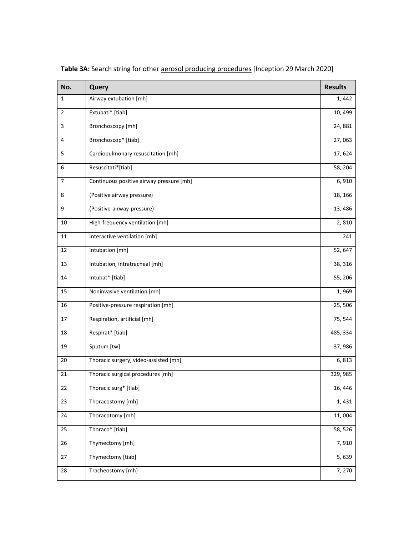| No. | Query                                    | <b>Results</b> |
|-----|------------------------------------------|----------------|
| 1   | Airway extubation [mh]                   | 1,442          |
| 2   | Extubati* [tiab]                         | 10, 499        |
| 3   | Bronchoscopy [mh]                        | 24,881         |
| 4   | Bronchoscop* [tiab]                      | 27,063         |
| 5   | Cardiopulmonary resuscitation [mh]       | 17,624         |
| 6   | Resuscitati*[tiab]                       | 58, 204        |
| 7   | Continuous positive airway pressure [mh] | 6,910          |
| 8   | (Positive airway pressure)               | 18, 166        |
| 9   | (Positive-airway-pressure)               | 13,486         |
| 10  | High-frequency ventilation [mh]          | 2,810          |
| 11  | Interactive ventilation [mh]             | 241            |
| 12  | Intubation [mh]                          | 52, 647        |
| 13  | Intubation, intratracheal [mh]           | 38, 316        |
| 14  | Intubat* [tiab]                          | 55, 206        |
| 15  | Noninvasive ventilation [mh]             | 1,969          |
| 16  | Positive-pressure respiration [mh]       | 25,506         |
| 17  | Respiration, artificial [mh]             | 75, 544        |
| 18  | Respirat* [tiab]                         | 485, 334       |
| 19  | Sputum [tw]                              | 37,986         |
| 20  | Thoracic surgery, video-assisted [mh]    | 6,813          |
| 21  | Thoracic surgical procedures [mh]        | 329, 985       |
| 22  | Thoracic surg* [tiab]                    | 16, 446        |
| 23  | Thoracostomy [mh]                        | 1,431          |
| 24  | Thoracotomy [mh]                         | 11,004         |
| 25  | Thoraco* [tiab]                          | 58, 526        |
| 26  | Thymectomy [mh]                          | 7,910          |
| 27  | Thymectomy [tiab]                        | 5,639          |
| 28  | Tracheostomy [mh]                        | 7,270          |

Table 3A: Search string for other **aerosol producing procedures** [Inception 29 March 2020]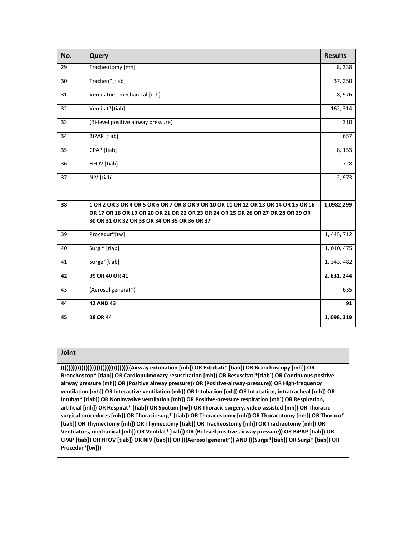| No. | <b>Query</b>                                                                        | <b>Results</b> |
|-----|-------------------------------------------------------------------------------------|----------------|
| 29  | Tracheotomy [mh]                                                                    | 8,338          |
| 30  | Tracheo*[tiab]                                                                      | 37, 250        |
| 31  | Ventilators, mechanical [mh]                                                        | 8,976          |
| 32  | Ventilat*[tiab]                                                                     | 162, 314       |
| 33  | (Bi-level positive airway pressure)                                                 | 310            |
| 34  | BiPAP [tiab]                                                                        | 657            |
| 35  | CPAP [tiab]                                                                         | 8, 153         |
| 36  | HFOV [tiab]                                                                         | 728            |
| 37  | NIV [tiab]                                                                          | 2,973          |
|     |                                                                                     |                |
| 38  | 1 OR 2 OR 3 OR 4 OR 5 OR 6 OR 7 OR 8 OR 9 OR 10 OR 11 OR 12 OR 13 OR 14 OR 15 OR 16 | 1,0982,299     |
|     | OR 17 OR 18 OR 19 OR 20 OR 21 OR 22 OR 23 OR 24 OR 25 OR 26 OR 27 OR 28 OR 29 OR    |                |
|     | 30 OR 31 OR 32 OR 33 OR 34 OR 35 OR 36 OR 37                                        |                |
| 39  | Procedur*[tw]                                                                       | 1, 445, 712    |
| 40  | Surgi* [tiab]                                                                       | 1, 010, 475    |
| 41  | Surge*[tiab]                                                                        | 1, 343, 482    |
| 42  | 39 OR 40 OR 41                                                                      | 2, 831, 244    |
| 43  | (Aerosol generat*)                                                                  | 635            |
| 44  | <b>42 AND 43</b>                                                                    | 91             |
| 45  | 38 OR 44                                                                            | 1,098,319      |

**(((((((((((((((((((((((((((((((((((((Airway extubation [mh]) OR Extubati\* [tiab]) OR Bronchoscopy [mh]) OR Bronchoscop\* [tiab]) OR Cardiopulmonary resuscitation [mh]) OR Resuscitati\*[tiab]) OR Continuous positive airway pressure [mh]) OR (Positive airway pressure)) OR (Positive-airway-pressure)) OR High-frequency ventilation [mh]) OR Interactive ventilation [mh]) OR Intubation [mh]) OR Intubation, intratracheal [mh]) OR Intubat\* [tiab]) OR Noninvasive ventilation [mh]) OR Positive-pressure respiration [mh]) OR Respiration, artificial [mh]) OR Respirat\* [tiab]) OR Sputum [tw]) OR Thoracic surgery, video-assisted [mh]) OR Thoracic surgical procedures [mh]) OR Thoracic surg\* [tiab]) OR Thoracostomy [mh]) OR Thoracotomy [mh]) OR Thoraco\* [tiab]) OR Thymectomy [mh]) OR Thymectomy [tiab]) OR Tracheostomy [mh]) OR Tracheotomy [mh]) OR Ventilators, mechanical [mh]) OR Ventilat\*[tiab]) OR (Bi-level positive airway pressure)) OR BiPAP [tiab]) OR CPAP [tiab]) OR HFOV [tiab]) OR NIV [tiab])) OR (((Aerosol generat\*)) AND (((Surge\*[tiab]) OR Surgi\* [tiab]) OR Procedur\*[tw]))**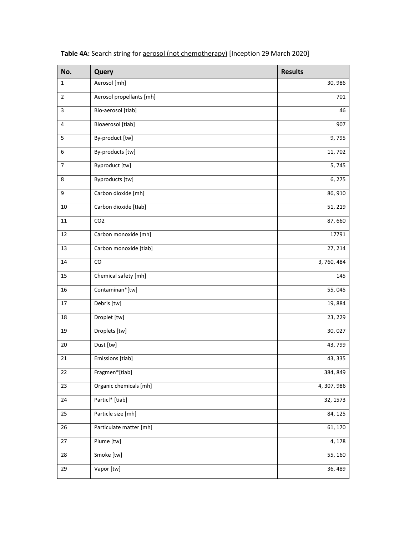| No.         | Query                    | <b>Results</b>       |
|-------------|--------------------------|----------------------|
| $\mathbf 1$ | Aerosol [mh]             | 30,986               |
| 2           | Aerosol propellants [mh] | 701                  |
| 3           | Bio-aerosol [tiab]       | 46                   |
| 4           | Bioaerosol [tiab]        | 907                  |
| 5           | By-product [tw]          | 9,795                |
| 6           | By-products [tw]         | 11, 702              |
| 7           | Byproduct [tw]           | 5, 745               |
| 8           | Byproducts [tw]          | 6, 275               |
| 9           | Carbon dioxide [mh]      | 86, 910              |
| $10\,$      | Carbon dioxide [tlab]    | 51, 219              |
| 11          | CO <sub>2</sub>          | 87,660               |
| 12          | Carbon monoxide [mh]     | 17791                |
| 13          | Carbon monoxide [tiab]   | $\overline{27, 214}$ |
| 14          | CO                       | 3, 760, 484          |
| 15          | Chemical safety [mh]     | 145                  |
| 16          | Contaminan*[tw]          | 55,045               |
| 17          | Debris [tw]              | 19,884               |
| 18          | Droplet [tw]             | 23, 229              |
| 19          | Droplets [tw]            | 30,027               |
| 20          | Dust [tw]                | 43, 799              |
| 21          | Emissions [tiab]         | 43, 335              |
| 22          | Fragmen*[tiab]           | 384, 849             |
| 23          | Organic chemicals [mh]   | 4, 307, 986          |
| 24          | Particl* [tiab]          | 32, 1573             |
| 25          | Particle size [mh]       | 84, 125              |
| 26          | Particulate matter [mh]  | 61, 170              |
| 27          | Plume [tw]               | 4, 178               |
| 28          | Smoke [tw]               | 55, 160              |
| 29          | Vapor [tw]               | 36, 489              |

Table 4A: Search string for **aerosol** (not chemotherapy) [Inception 29 March 2020]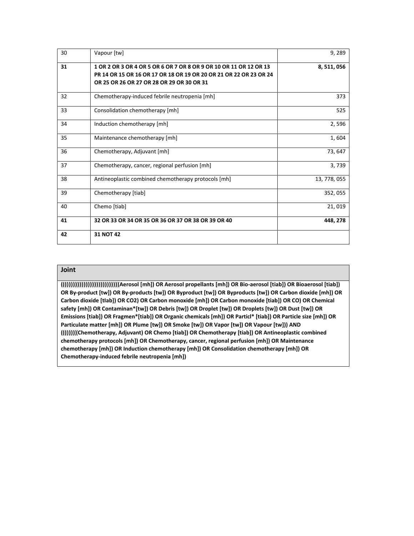| 30 | Vapour [tw]                                                                                                                                                                         | 9,289        |
|----|-------------------------------------------------------------------------------------------------------------------------------------------------------------------------------------|--------------|
| 31 | 1 OR 2 OR 3 OR 4 OR 5 OR 6 OR 7 OR 8 OR 9 OR 10 OR 11 OR 12 OR 13<br>PR 14 OR 15 OR 16 OR 17 OR 18 OR 19 OR 20 OR 21 OR 22 OR 23 OR 24<br>OR 25 OR 26 OR 27 OR 28 OR 29 OR 30 OR 31 | 8,511,056    |
| 32 | Chemotherapy-induced febrile neutropenia [mh]                                                                                                                                       | 373          |
| 33 | Consolidation chemotherapy [mh]                                                                                                                                                     | 525          |
| 34 | Induction chemotherapy [mh]                                                                                                                                                         | 2,596        |
| 35 | Maintenance chemotherapy [mh]                                                                                                                                                       | 1,604        |
| 36 | Chemotherapy, Adjuvant [mh]                                                                                                                                                         | 73,647       |
| 37 | Chemotherapy, cancer, regional perfusion [mh]                                                                                                                                       | 3,739        |
| 38 | Antineoplastic combined chemotherapy protocols [mh]                                                                                                                                 | 13, 778, 055 |
| 39 | Chemotherapy [tiab]                                                                                                                                                                 | 352,055      |
| 40 | Chemo [tiab]                                                                                                                                                                        | 21,019       |
| 41 | 32 OR 33 OR 34 OR 35 OR 36 OR 37 OR 38 OR 39 OR 40                                                                                                                                  | 448, 278     |
| 42 | 31 NOT 42                                                                                                                                                                           |              |

**(((((((((((((((((((((((((((((((Aerosol [mh]) OR Aerosol propellants [mh]) OR Bio-aerosol [tiab]) OR Bioaerosol [tiab]) OR By-product [tw]) OR By-products [tw]) OR Byproduct [tw]) OR Byproducts [tw]) OR Carbon dioxide [mh]) OR Carbon dioxide [tIab]) OR CO2) OR Carbon monoxide [mh]) OR Carbon monoxide [tiab]) OR CO) OR Chemical safety [mh]) OR Contaminan\*[tw]) OR Debris [tw]) OR Droplet [tw]) OR Droplets [tw]) OR Dust [tw]) OR Emissions [tiab]) OR Fragmen\*[tiab]) OR Organic chemicals [mh]) OR Particl\* [tiab]) OR Particle size [mh]) OR Particulate matter [mh]) OR Plume [tw]) OR Smoke [tw]) OR Vapor [tw]) OR Vapour [tw])) AND (((((((((Chemotherapy, Adjuvant) OR Chemo [tiab]) OR Chemotherapy [tiab]) OR Antineoplastic combined chemotherapy protocols [mh]) OR Chemotherapy, cancer, regional perfusion [mh]) OR Maintenance chemotherapy [mh]) OR Induction chemotherapy [mh]) OR Consolidation chemotherapy [mh]) OR Chemotherapy-induced febrile neutropenia [mh])**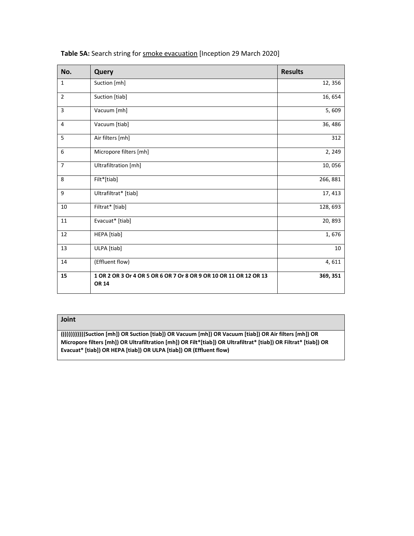| No.            | Query                                                                             | <b>Results</b> |
|----------------|-----------------------------------------------------------------------------------|----------------|
| 1              | Suction [mh]                                                                      | 12, 356        |
| $\overline{2}$ | Suction [tiab]                                                                    | 16, 654        |
| 3              | Vacuum [mh]                                                                       | 5,609          |
| 4              | Vacuum [tiab]                                                                     | 36, 486        |
| 5              | Air filters [mh]                                                                  | 312            |
| 6              | Micropore filters [mh]                                                            | 2, 249         |
| $\overline{7}$ | Ultrafiltration [mh]                                                              | 10,056         |
| 8              | Filt*[tiab]                                                                       | 266, 881       |
| 9              | Ultrafiltrat* [tiab]                                                              | 17, 413        |
| 10             | Filtrat* [tiab]                                                                   | 128, 693       |
| 11             | Evacuat* [tiab]                                                                   | 20, 893        |
| 12             | HEPA [tiab]                                                                       | 1,676          |
| 13             | ULPA [tiab]                                                                       | 10             |
| 14             | (Effluent flow)                                                                   | 4,611          |
| 15             | 1 OR 2 OR 3 Or 4 OR 5 OR 6 OR 7 Or 8 OR 9 OR 10 OR 11 OR 12 OR 13<br><b>OR 14</b> | 369, 351       |

Table 5A: Search string for smoke evacuation [Inception 29 March 2020]

#### **Joint**

**(((((((((((((Suction [mh]) OR Suction [tiab]) OR Vacuum [mh]) OR Vacuum [tiab]) OR Air filters [mh]) OR Micropore filters [mh]) OR Ultrafiltration [mh]) OR Filt\*[tiab]) OR Ultrafiltrat\* [tiab]) OR Filtrat\* [tiab]) OR Evacuat\* [tiab]) OR HEPA [tiab]) OR ULPA [tiab]) OR (Effluent flow)**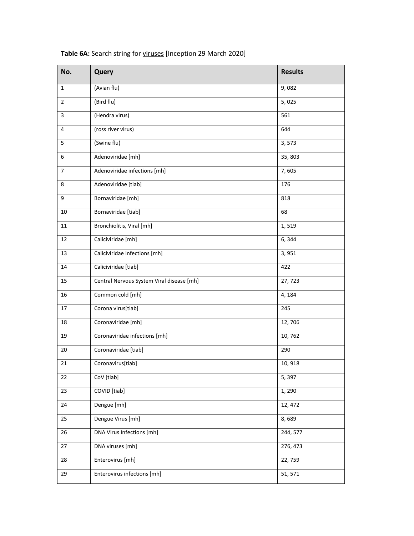| No.            | Query                                     | <b>Results</b> |
|----------------|-------------------------------------------|----------------|
| $\mathbf{1}$   | (Avian flu)                               | 9,082          |
| $\overline{2}$ | (Bird flu)                                | 5,025          |
| 3              | (Hendra virus)                            | 561            |
| $\overline{4}$ | (ross river virus)                        | 644            |
| 5              | (Swine flu)                               | 3,573          |
| 6              | Adenoviridae [mh]                         | 35, 803        |
| 7              | Adenoviridae infections [mh]              | 7,605          |
| 8              | Adenoviridae [tiab]                       | 176            |
| 9              | Bornaviridae [mh]                         | 818            |
| 10             | Bornaviridae [tiab]                       | 68             |
| 11             | Bronchiolitis, Viral [mh]                 | 1,519          |
| 12             | Caliciviridae [mh]                        | 6,344          |
| 13             | Caliciviridae infections [mh]             | 3,951          |
| 14             | Caliciviridae [tiab]                      | 422            |
| 15             | Central Nervous System Viral disease [mh] | 27, 723        |
| 16             | Common cold [mh]                          | 4,184          |
| 17             | Corona virus[tiab]                        | 245            |
| 18             | Coronaviridae [mh]                        | 12,706         |
| 19             | Coronaviridae infections [mh]             | 10,762         |
| 20             | Coronaviridae [tiab]                      | 290            |
| 21             | Coronavirus[tiab]                         | 10, 918        |
| 22             | CoV [tiab]                                | 5,397          |
| 23             | COVID [tiab]                              | 1,290          |
| 24             | Dengue [mh]                               | 12, 472        |
| 25             | Dengue Virus [mh]                         | 8,689          |
| 26             | DNA Virus Infections [mh]                 | 244, 577       |
| 27             | DNA viruses [mh]                          | 276, 473       |
| 28             | Enterovirus [mh]                          | 22,759         |
| 29             | Enterovirus infections [mh]               | 51, 571        |

**Table 6A:** Search string for viruses [Inception 29 March 2020]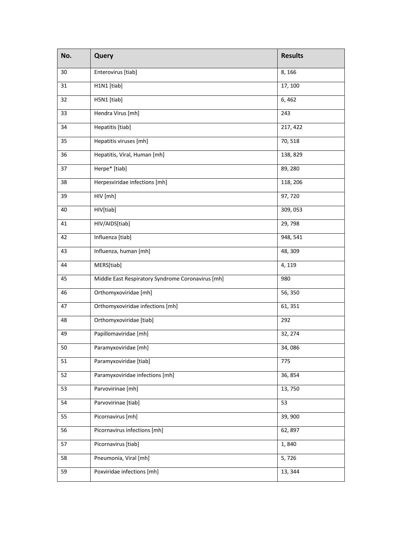| No. | Query                                             | <b>Results</b> |
|-----|---------------------------------------------------|----------------|
| 30  | Enterovirus [tiab]                                | 8,166          |
| 31  | H1N1 [tiab]                                       | 17, 100        |
| 32  | H5N1 [tiab]                                       | 6,462          |
| 33  | Hendra Virus [mh]                                 | 243            |
| 34  | Hepatitis [tiab]                                  | 217, 422       |
| 35  | Hepatitis viruses [mh]                            | 70, 518        |
| 36  | Hepatitis, Viral, Human [mh]                      | 138, 829       |
| 37  | Herpe* [tiab]                                     | 89, 280        |
| 38  | Herpesviridae infections [mh]                     | 118, 206       |
| 39  | HIV [mh]                                          | 97,720         |
| 40  | HIV[tiab]                                         | 309, 053       |
| 41  | HIV/AIDS[tiab]                                    | 29,798         |
| 42  | Influenza [tiab]                                  | 948, 541       |
| 43  | Influenza, human [mh]                             | 48, 309        |
| 44  | MERS[tiab]                                        | 4, 119         |
| 45  | Middle East Respiratory Syndrome Coronavirus [mh] | 980            |
| 46  | Orthomyxoviridae [mh]                             | 56, 350        |
| 47  | Orthomyxoviridae infections [mh]                  | 61, 351        |
| 48  | Orthomyxoviridae [tiab]                           | 292            |
| 49  | Papillomaviridae [mh]                             | 32, 274        |
| 50  | Paramyxoviridae [mh]                              | 34,086         |
| 51  | Paramyxoviridae [tiab]                            | 775            |
| 52  | Paramyxoviridae infections [mh]                   | 36, 854        |
| 53  | Parvovirinae [mh]                                 | 13,750         |
| 54  | Parvovirinae [tiab]                               | 53             |
| 55  | Picornavirus [mh]                                 | 39,900         |
| 56  | Picornavirus infections [mh]                      | 62, 897        |
| 57  | Picornavirus [tiab]                               | 1,840          |
| 58  | Pneumonia, Viral [mh]                             | 5,726          |
| 59  | Poxviridae infections [mh]                        | 13, 344        |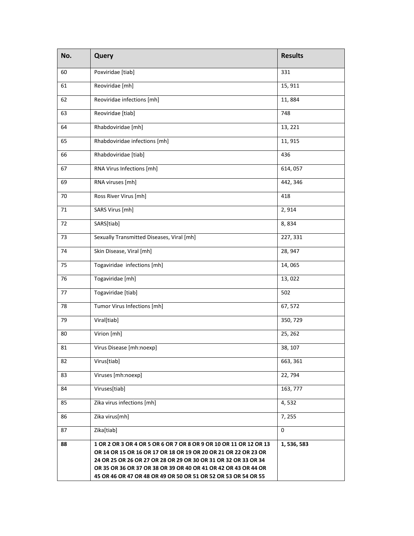| No. | Query                                                                                                                                                                                                                                                                                                                                     | <b>Results</b> |
|-----|-------------------------------------------------------------------------------------------------------------------------------------------------------------------------------------------------------------------------------------------------------------------------------------------------------------------------------------------|----------------|
| 60  | Poxviridae [tiab]                                                                                                                                                                                                                                                                                                                         | 331            |
| 61  | Reoviridae [mh]                                                                                                                                                                                                                                                                                                                           | 15, 911        |
| 62  | Reoviridae infections [mh]                                                                                                                                                                                                                                                                                                                | 11,884         |
| 63  | Reoviridae [tiab]                                                                                                                                                                                                                                                                                                                         | 748            |
| 64  | Rhabdoviridae [mh]                                                                                                                                                                                                                                                                                                                        | 13, 221        |
| 65  | Rhabdoviridae infections [mh]                                                                                                                                                                                                                                                                                                             | 11, 915        |
| 66  | Rhabdoviridae [tiab]                                                                                                                                                                                                                                                                                                                      | 436            |
| 67  | RNA Virus Infections [mh]                                                                                                                                                                                                                                                                                                                 | 614,057        |
| 69  | RNA viruses [mh]                                                                                                                                                                                                                                                                                                                          | 442, 346       |
| 70  | Ross River Virus [mh]                                                                                                                                                                                                                                                                                                                     | 418            |
| 71  | SARS Virus [mh]                                                                                                                                                                                                                                                                                                                           | 2,914          |
| 72  | SARS[tiab]                                                                                                                                                                                                                                                                                                                                | 8,834          |
| 73  | Sexually Transmitted Diseases, Viral [mh]                                                                                                                                                                                                                                                                                                 | 227, 331       |
| 74  | Skin Disease, Viral [mh]                                                                                                                                                                                                                                                                                                                  | 28, 947        |
| 75  | Togaviridae infections [mh]                                                                                                                                                                                                                                                                                                               | 14,065         |
| 76  | Togaviridae [mh]                                                                                                                                                                                                                                                                                                                          | 13,022         |
| 77  | Togaviridae [tiab]                                                                                                                                                                                                                                                                                                                        | 502            |
| 78  | Tumor Virus Infections [mh]                                                                                                                                                                                                                                                                                                               | 67, 572        |
| 79  | Viral[tiab]                                                                                                                                                                                                                                                                                                                               | 350, 729       |
| 80  | Virion [mh]                                                                                                                                                                                                                                                                                                                               | 25, 262        |
| 81  | Virus Disease [mh:noexp]                                                                                                                                                                                                                                                                                                                  | 38, 107        |
| 82  | Virus[tiab]                                                                                                                                                                                                                                                                                                                               | 663, 361       |
| 83  | Viruses [mh:noexp]                                                                                                                                                                                                                                                                                                                        | 22, 794        |
| 84  | Viruses[tiab]                                                                                                                                                                                                                                                                                                                             | 163, 777       |
| 85  | Zika virus infections [mh]                                                                                                                                                                                                                                                                                                                | 4,532          |
| 86  | Zika virus[mh]                                                                                                                                                                                                                                                                                                                            | 7, 255         |
| 87  | Zika[tiab]                                                                                                                                                                                                                                                                                                                                | $\mathbf 0$    |
| 88  | 1 OR 2 OR 3 OR 4 OR 5 OR 6 OR 7 OR 8 OR 9 OR 10 OR 11 OR 12 OR 13<br>OR 14 OR 15 OR 16 OR 17 OR 18 OR 19 OR 20 OR 21 OR 22 OR 23 OR<br>24 OR 25 OR 26 OR 27 OR 28 OR 29 OR 30 OR 31 OR 32 OR 33 OR 34<br>OR 35 OR 36 OR 37 OR 38 OR 39 OR 40 OR 41 OR 42 OR 43 OR 44 OR<br>45 OR 46 OR 47 OR 48 OR 49 OR 50 OR 51 OR 52 OR 53 OR 54 OR 55 | 1,536,583      |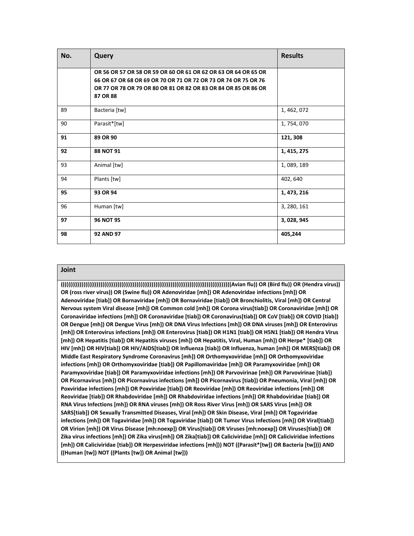| No. | Query                                                                                                                                                                                                          | <b>Results</b> |
|-----|----------------------------------------------------------------------------------------------------------------------------------------------------------------------------------------------------------------|----------------|
|     | OR 56 OR 57 OR 58 OR 59 OR 60 OR 61 OR 62 OR 63 OR 64 OR 65 OR<br>66 OR 67 OR 68 OR 69 OR 70 OR 71 OR 72 OR 73 OR 74 OR 75 OR 76<br>OR 77 OR 78 OR 79 OR 80 OR 81 OR 82 OR 83 OR 84 OR 85 OR 86 OR<br>87 OR 88 |                |
| 89  | Bacteria [tw]                                                                                                                                                                                                  | 1, 462, 072    |
| 90  | Parasit*[tw]                                                                                                                                                                                                   | 1,754,070      |
| 91  | 89 OR 90                                                                                                                                                                                                       | 121, 308       |
| 92  | 88 NOT 91                                                                                                                                                                                                      | 1, 415, 275    |
| 93  | Animal [tw]                                                                                                                                                                                                    | 1,089,189      |
| 94  | Plants [tw]                                                                                                                                                                                                    | 402, 640       |
| 95  | 93 OR 94                                                                                                                                                                                                       | 1, 473, 216    |
| 96  | Human [tw]                                                                                                                                                                                                     | 3, 280, 161    |
| 97  | <b>96 NOT 95</b>                                                                                                                                                                                               | 3, 028, 945    |
| 98  | <b>92 AND 97</b>                                                                                                                                                                                               | 405,244        |

**((((((((((((((((((((((((((((((((((((((((((((((((((((((((((((((((((((((((((((((((((((((((((Avian flu)) OR (Bird flu)) OR (Hendra virus)) OR (ross river virus)) OR (Swine flu)) OR Adenoviridae [mh]) OR Adenoviridae infections [mh]) OR Adenoviridae [tiab]) OR Bornaviridae [mh]) OR Bornaviridae [tiab]) OR Bronchiolitis, Viral [mh]) OR Central Nervous system Viral disease [mh]) OR Common cold [mh]) OR Corona virus[tiab]) OR Coronaviridae [mh]) OR Coronaviridae infections [mh]) OR Coronaviridae [tiab]) OR Coronavirus[tiab]) OR CoV [tiab]) OR COVID [tiab]) OR Dengue [mh]) OR Dengue Virus [mh]) OR DNA Virus Infections [mh]) OR DNA viruses [mh]) OR Enterovirus [mh]) OR Enterovirus infections [mh]) OR Enterovirus [tiab]) OR H1N1 [tiab]) OR H5N1 [tiab]) OR Hendra Virus [mh]) OR Hepatitis [tiab]) OR Hepatitis viruses [mh]) OR Hepatitis, Viral, Human [mh]) OR Herpe\* [tiab]) OR HIV [mh]) OR HIV[tiab]) OR HIV/AIDS[tiab]) OR Influenza [tiab]) OR Influenza, human [mh]) OR MERS[tiab]) OR Middle East Respiratory Syndrome Coronavirus [mh]) OR Orthomyxoviridae [mh]) OR Orthomyxoviridae infections [mh]) OR Orthomyxoviridae [tiab]) OR Papillomaviridae [mh]) OR Paramyxoviridae [mh]) OR Paramyxoviridae [tiab]) OR Paramyxoviridae infections [mh]) OR Parvovirinae [mh]) OR Parvovirinae [tiab]) OR Picornavirus [mh]) OR Picornavirus infections [mh]) OR Picornavirus [tiab]) OR Pneumonia, Viral [mh]) OR Poxviridae infections [mh]) OR Poxviridae [tiab]) OR Reoviridae [mh]) OR Reoviridae infections [mh]) OR Reoviridae [tiab]) OR Rhabdoviridae [mh]) OR Rhabdoviridae infections [mh]) OR Rhabdoviridae [tiab]) OR RNA Virus Infections [mh]) OR RNA viruses [mh]) OR Ross River Virus [mh]) OR SARS Virus [mh]) OR SARS[tiab]) OR Sexually Transmitted Diseases, Viral [mh]) OR Skin Disease, Viral [mh]) OR Togaviridae infections [mh]) OR Togaviridae [mh]) OR Togaviridae [tiab]) OR Tumor Virus Infections [mh]) OR Viral[tiab]) OR Virion [mh]) OR Virus Disease [mh:noexp]) OR Virus[tiab]) OR Viruses [mh:noexp]) OR Viruses[tiab]) OR Zika virus infections [mh]) OR Zika virus[mh]) OR Zika[tiab]) OR Caliciviridae [mh]) OR Caliciviridae infections [mh]) OR Caliciviridae [tiab]) OR Herpesviridae infections [mh])) NOT ((Parasit\*[tw]) OR Bacteria [tw]))) AND ((Human [tw]) NOT ((Plants [tw]) OR Animal [tw]))**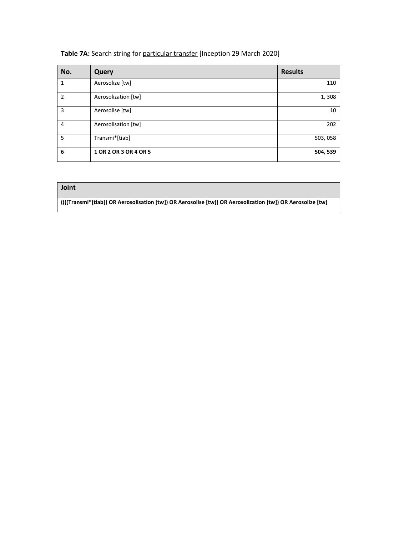| No. | Query                 | <b>Results</b> |
|-----|-----------------------|----------------|
|     | Aerosolize [tw]       | 110            |
| 2   | Aerosolization [tw]   | 1,308          |
| 3   | Aerosolise [tw]       | 10             |
| 4   | Aerosolisation [tw]   | 202            |
| 5   | Transmi*[tiab]        | 503,058        |
| 6   | 1 OR 2 OR 3 OR 4 OR 5 | 504, 539       |

#### Table 7A: Search string for particular transfer [Inception 29 March 2020]

| Joint                                                                                                       |
|-------------------------------------------------------------------------------------------------------------|
| [((((Transmi*[tiab]) OR Aerosolisation [tw]) OR Aerosolise [tw]) OR Aerosolization [tw]) OR Aerosolize [tw] |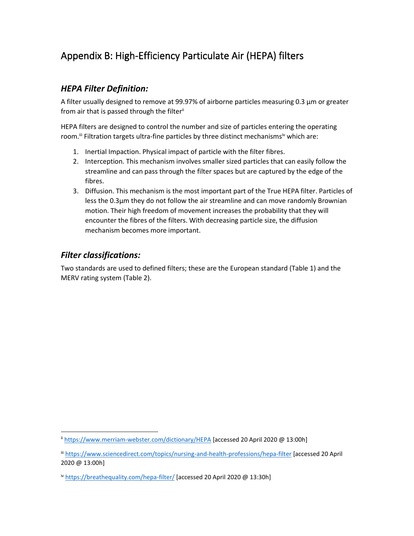# Appendix B: High-Efficiency Particulate Air (HEPA) filters

### *HEPA Filter Definition:*

A filter usually designed to remove at 99.97% of airborne particles measuring 0.3 µm or greater from air that is passed through the filterii

HEPA filters are designed to control the number and size of particles entering the operating room.<sup>ii</sup> Filtration targets ultra-fine particles by three distinct mechanisms<sup>iv</sup> which are:

- 1. Inertial Impaction. Physical impact of particle with the filter fibres.
- 2. Interception. This mechanism involves smaller sized particles that can easily follow the streamline and can pass through the filter spaces but are captured by the edge of the fibres.
- 3. Diffusion. This mechanism is the most important part of the True HEPA filter. Particles of less the 0.3µm they do not follow the air streamline and can move randomly Brownian motion. Their high freedom of movement increases the probability that they will encounter the fibres of the filters. With decreasing particle size, the diffusion mechanism becomes more important.

#### *Filter classifications:*

Two standards are used to defined filters; these are the European standard (Table 1) and the MERV rating system (Table 2).

ii <https://www.merriam-webster.com/dictionary/HEPA> [accessed 20 April 2020 @ 13:00h]

iii <https://www.sciencedirect.com/topics/nursing-and-health-professions/hepa-filter> [accessed 20 April 2020 @ 13:00h]

iv <https://breathequality.com/hepa-filter/> [accessed 20 April 2020 @ 13:30h]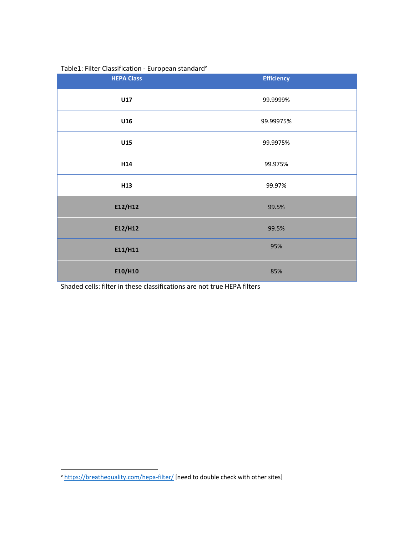#### Table1: Filter Classification - European standard<sup>v</sup>

| <b>HEPA Class</b> | <b>Efficiency</b> |
|-------------------|-------------------|
| U17               | 99.9999%          |
| U16               | 99.99975%         |
| U15               | 99.9975%          |
| H <sub>14</sub>   | 99.975%           |
| H <sub>13</sub>   | 99.97%            |
| E12/H12           | 99.5%             |
| E12/H12           | 99.5%             |
| E11/H11           | 95%               |
| E10/H10           | 85%               |

Shaded cells: filter in these classifications are not true HEPA filters

v <https://breathequality.com/hepa-filter/> [need to double check with other sites]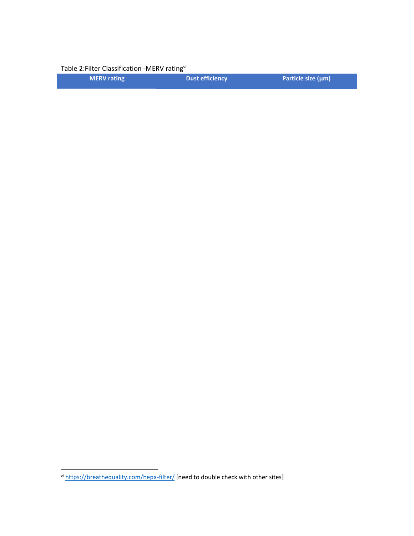Table 2: Filter Classification - MERV rating<sup>vi</sup>

| <b>MERV</b> rating | Dust efficiency | Particle size $(\mu m)$ |
|--------------------|-----------------|-------------------------|
|                    |                 |                         |

vi <https://breathequality.com/hepa-filter/> [need to double check with other sites]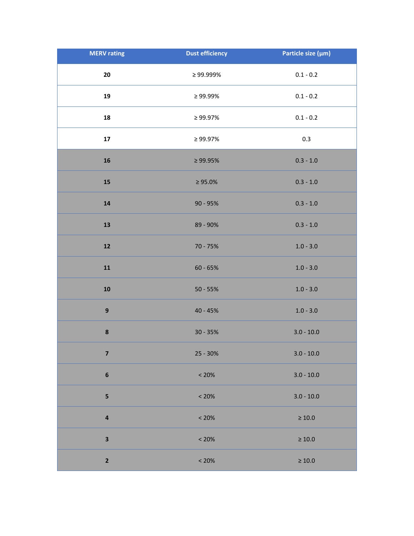| <b>MERV</b> rating      | <b>Dust efficiency</b> | Particle size (µm) |
|-------------------------|------------------------|--------------------|
| 20                      | $\geq 99.999\%$        | $0.1 - 0.2$        |
| 19                      | $\geq 99.99\%$         | $0.1 - 0.2$        |
| 18                      | ≥ 99.97%               | $0.1 - 0.2$        |
| ${\bf 17}$              | $\geq 99.97\%$         | 0.3                |
| 16                      | $\geq 99.95\%$         | $0.3 - 1.0$        |
| 15                      | $\geq 95.0\%$          | $0.3 - 1.0$        |
| 14                      | $90 - 95%$             | $0.3 - 1.0$        |
| 13                      | 89 - 90%               | $0.3 - 1.0$        |
| ${\bf 12}$              | 70 - 75%               | $1.0 - 3.0$        |
| ${\bf 11}$              | $60 - 65%$             | $1.0 - 3.0$        |
| ${\bf 10}$              | $50 - 55%$             | $1.0 - 3.0$        |
| $\boldsymbol{9}$        | 40 - 45%               | $1.0 - 3.0$        |
| $\pmb{8}$               | $30 - 35%$             | $3.0 - 10.0$       |
| $\overline{\mathbf{z}}$ | $25 - 30%$             | $3.0 - 10.0$       |
| $\bf 6$                 | < 20%                  | $3.0 - 10.0$       |
| 5                       | < 20%                  | $3.0 - 10.0$       |
| 4                       | < 20%                  | $\geq 10.0$        |
| 3                       | < 20%                  | $\geq 10.0$        |
| $\mathbf{2}$            | < 20%                  | $\geq 10.0$        |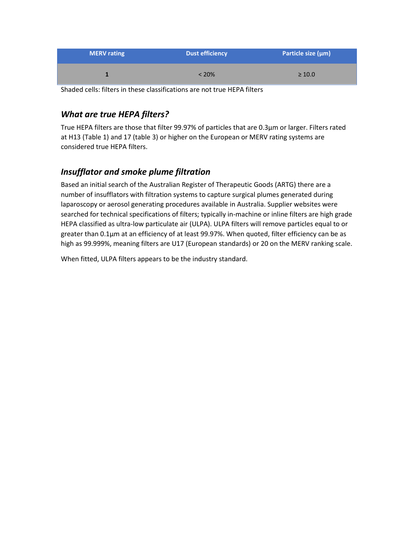| <b>MERV</b> rating | <b>Dust efficiency</b> | Particle size $(\mu m)$ |
|--------------------|------------------------|-------------------------|
|                    | $< 20\%$               | $\geq 10.0$             |

Shaded cells: filters in these classifications are not true HEPA filters

### *What are true HEPA filters?*

True HEPA filters are those that filter 99.97% of particles that are 0.3µm or larger. Filters rated at H13 (Table 1) and 17 (table 3) or higher on the European or MERV rating systems are considered true HEPA filters.

### *Insufflator and smoke plume filtration*

Based an initial search of the Australian Register of Therapeutic Goods (ARTG) there are a number of insufflators with filtration systems to capture surgical plumes generated during laparoscopy or aerosol generating procedures available in Australia. Supplier websites were searched for technical specifications of filters; typically in-machine or inline filters are high grade HEPA classified as ultra-low particulate air (ULPA). ULPA filters will remove particles equal to or greater than 0.1µm at an efficiency of at least 99.97%. When quoted, filter efficiency can be as high as 99.999%, meaning filters are U17 (European standards) or 20 on the MERV ranking scale.

When fitted, ULPA filters appears to be the industry standard.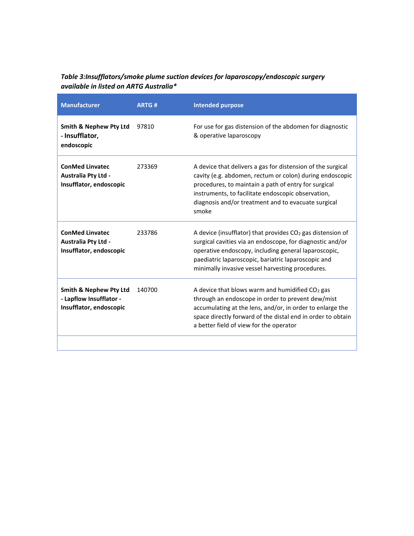#### *Table 3:Insufflators/smoke plume suction devices for laparoscopy/endoscopic surgery available in listed on ARTG Australia\**

| <b>Manufacturer</b>                                                                     | <b>ARTG#</b> | <b>Intended purpose</b>                                                                                                                                                                                                                                                                               |
|-----------------------------------------------------------------------------------------|--------------|-------------------------------------------------------------------------------------------------------------------------------------------------------------------------------------------------------------------------------------------------------------------------------------------------------|
| <b>Smith &amp; Nephew Pty Ltd</b><br>- Insufflator,<br>endoscopic                       | 97810        | For use for gas distension of the abdomen for diagnostic<br>& operative laparoscopy                                                                                                                                                                                                                   |
| <b>ConMed Linvatec</b><br>Australia Pty Ltd -<br>Insufflator, endoscopic                | 273369       | A device that delivers a gas for distension of the surgical<br>cavity (e.g. abdomen, rectum or colon) during endoscopic<br>procedures, to maintain a path of entry for surgical<br>instruments, to facilitate endoscopic observation,<br>diagnosis and/or treatment and to evacuate surgical<br>smoke |
| <b>ConMed Linvatec</b><br>Australia Pty Ltd -<br>Insufflator, endoscopic                | 233786       | A device (insufflator) that provides $CO2$ gas distension of<br>surgical cavities via an endoscope, for diagnostic and/or<br>operative endoscopy, including general laparoscopic,<br>paediatric laparoscopic, bariatric laparoscopic and<br>minimally invasive vessel harvesting procedures.          |
| <b>Smith &amp; Nephew Pty Ltd</b><br>- Lapflow Insufflator -<br>Insufflator, endoscopic | 140700       | A device that blows warm and humidified CO2 gas<br>through an endoscope in order to prevent dew/mist<br>accumulating at the lens, and/or, in order to enlarge the<br>space directly forward of the distal end in order to obtain<br>a better field of view for the operator                           |
|                                                                                         |              |                                                                                                                                                                                                                                                                                                       |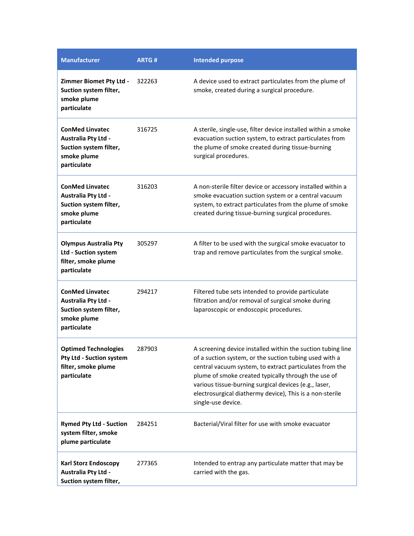| <b>Manufacturer</b>                                                                                          | <b>ARTG#</b> | <b>Intended purpose</b>                                                                                                                                                                                                                                                                                                                                                            |
|--------------------------------------------------------------------------------------------------------------|--------------|------------------------------------------------------------------------------------------------------------------------------------------------------------------------------------------------------------------------------------------------------------------------------------------------------------------------------------------------------------------------------------|
| <b>Zimmer Biomet Pty Ltd -</b><br>Suction system filter,<br>smoke plume<br>particulate                       | 322263       | A device used to extract particulates from the plume of<br>smoke, created during a surgical procedure.                                                                                                                                                                                                                                                                             |
| <b>ConMed Linvatec</b><br><b>Australia Pty Ltd -</b><br>Suction system filter,<br>smoke plume<br>particulate | 316725       | A sterile, single-use, filter device installed within a smoke<br>evacuation suction system, to extract particulates from<br>the plume of smoke created during tissue-burning<br>surgical procedures.                                                                                                                                                                               |
| <b>ConMed Linvatec</b><br><b>Australia Pty Ltd -</b><br>Suction system filter,<br>smoke plume<br>particulate | 316203       | A non-sterile filter device or accessory installed within a<br>smoke evacuation suction system or a central vacuum<br>system, to extract particulates from the plume of smoke<br>created during tissue-burning surgical procedures.                                                                                                                                                |
| <b>Olympus Australia Pty</b><br>Ltd - Suction system<br>filter, smoke plume<br>particulate                   | 305297       | A filter to be used with the surgical smoke evacuator to<br>trap and remove particulates from the surgical smoke.                                                                                                                                                                                                                                                                  |
| <b>ConMed Linvatec</b><br>Australia Pty Ltd -<br>Suction system filter,<br>smoke plume<br>particulate        | 294217       | Filtered tube sets intended to provide particulate<br>filtration and/or removal of surgical smoke during<br>laparoscopic or endoscopic procedures.                                                                                                                                                                                                                                 |
| <b>Optimed Technologies</b><br>Pty Ltd - Suction system<br>filter, smoke plume<br>particulate                | 287903       | A screening device installed within the suction tubing line<br>of a suction system, or the suction tubing used with a<br>central vacuum system, to extract particulates from the<br>plume of smoke created typically through the use of<br>various tissue-burning surgical devices (e.g., laser,<br>electrosurgical diathermy device), This is a non-sterile<br>single-use device. |
| <b>Rymed Pty Ltd - Suction</b><br>system filter, smoke<br>plume particulate                                  | 284251       | Bacterial/Viral filter for use with smoke evacuator                                                                                                                                                                                                                                                                                                                                |
| <b>Karl Storz Endoscopy</b><br>Australia Pty Ltd -<br>Suction system filter,                                 | 277365       | Intended to entrap any particulate matter that may be<br>carried with the gas.                                                                                                                                                                                                                                                                                                     |